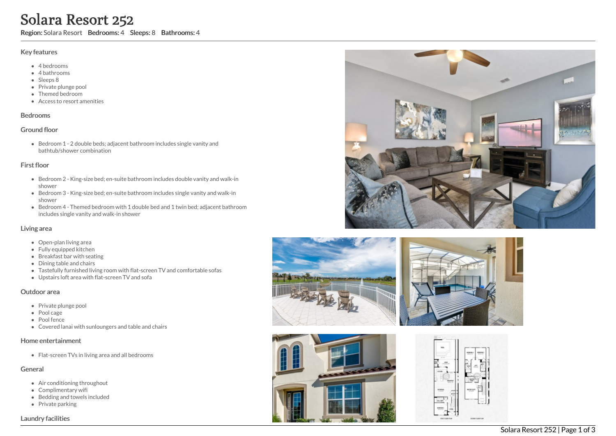# Solara Resort 252

Region: Solara Resort Bedrooms: 4 Sleeps: 8 Bathrooms: 4

#### Key features

- 4 b e d r o o m s
- 4 bathrooms
- Sleeps 8
- Private plunge pool
- Themed bedroom
- Access to resort amenities

#### **Bedrooms**

#### Ground floor

Bedroom 1 - 2 double beds; adjacent bathroom includes single vanity and bathtub/shower combination

#### First floor

- Bedroom 2 King-size bed; en-suite bathroom includes double vanity and walk-in s h o w e r
- Bedroom 3 King-size bed; en-suite bathroom includes single vanity and walk-in s h o w e r
- Bedroom 4 Themed bedroom with 1 double bed and 1 twin bed; adjacent bathroom includes single vanity and walk-in shower

#### Living area

- Open-plan living area
- Fully equipped kitchen
- Breakfast bar with seating
- Dining table and chairs
- Tastefully furnished living room with flat-screen TV and comfortable sofas
- Upstairs loft area with flat-screen TV and sofa

#### Outdoor area

- Private plunge pool
- Pool cage
- Pool fence
- Covered lanai with sunloungers and table and chairs

#### Home entertainment

Flat-screen TVs in living area and all bedrooms

## General

- Air conditioning throughout
- Complimentary wifi
- Bedding and towels in clu d e d
- Private parking

#### Laundry facilities









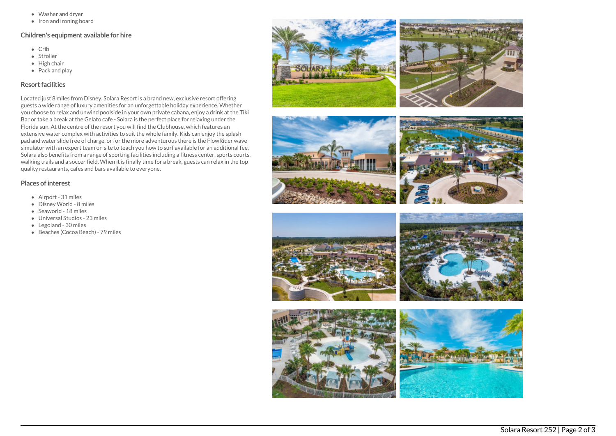- Washer and dryer
- Iron and ironing board

#### Children's equipment available for hire

- Crib
- Stroller
- $\bullet$  High chair
- Pack and play

### Resort facilities

Located just 8 miles from Disney, Solara Resort is a brand new, exclusive resort offering guests a wide range of luxury amenities for an unforgettable holiday experience. Whether you choose to relax and unwind poolside in your own private cabana, enjoy a drink at the Tiki Bar or take a break at the Gelato cafe - Solara is the perfect place for relaxing under the Florida sun. At the centre of the resort you will find the Clubhouse, which features an extensive water complex with activities to suit the whole family. Kids can enjoy the splash pad and water slide free of charge, or for the more adventurous there is the FlowRider wave simulator with an expert team on site to teach you how to surf available for an additional fee. Solara also benefits from a range of sporting facilities including a fitness center, sports courts, walking trails and a soccer field. When it is finally time for a break, guests can relax in the top quality restaurants, cafes and bars available to everyone.

## Places of interest

- Airport 31 miles
- Disney World 8 miles
- Seaworld 18 miles
- Universal Studios 23 miles
- Legoland 30 miles
- Beaches (Cocoa Beach) 79 miles